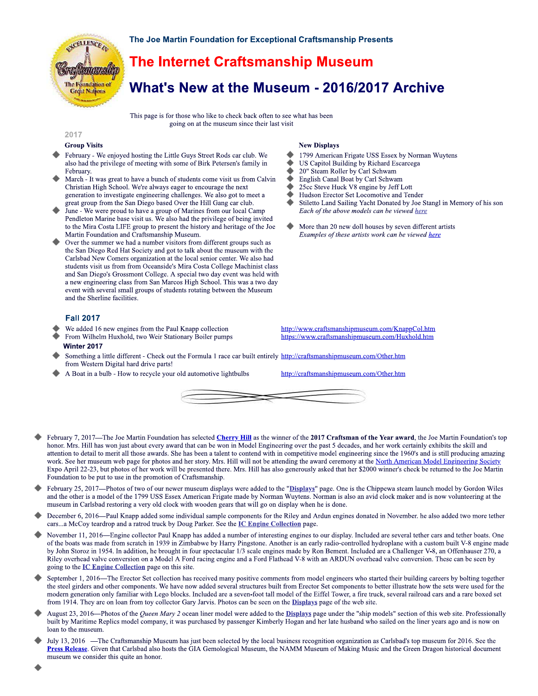

The Joe Martin Foundation for Exceptional Craftsmanship Presents

# **The Internet Craftsmanship Museum**

What's New at the Museum - 2016/2017 Archive

This page is for those who like to check back often to see what has been going on at the museum since their last visit

#### 2017

#### **Group Visits**

- February We enjoyed hosting the Little Guys Street Rods car club. We also had the privilege of meeting with some of Birk Petersen's family in February.
- March It was great to have a bunch of students come visit us from Calvin Christian High School. We're always eager to encourage the next generation to investigate engineering challenges. We also got to meet a great group from the San Diego based Over the Hill Gang car club.
- June We were proud to have a group of Marines from our local Camp Pendleton Marine base visit us. We also had the privilege of being invited to the Mira Costa LIFE group to present the history and heritage of the Joe Martin Foundation and Craftsmanship Museum.
- Over the summer we had a number visitors from different groups such as the San Diego Red Hat Society and got to talk about the museum with the Carlsbad New Comers organization at the local senior center. We also had students visit us from from Oceanside's Mira Costa College Machinist class and San Diego's Grossmont College. A special two day event was held with a new engineering class from San Marcos High School. This was a two day event with several small groups of students rotating between the Museum and the Sherline facilities.

## **Fall 2017**

- We added 16 new engines from the Paul Knapp collection
- From Wilhelm Huxhold, two Weir Stationary Boiler pumps Winter 2017
- Something a little different Check out the Formula 1 race car built entirely http://craftsmanshipmuseum.com/Other.htm from Western Digital hard drive parts!
- A Boat in a bulb How to recycle your old automotive lightbulbs

### **New Displays**

- 1799 American Frigate USS Essex by Norman Wuytens
- US Capitol Building by Richard Escarcega
- 20" Steam Roller by Carl Schwam
- English Canal Boat by Carl Schwam
- ò 25cc Steve Huck V8 engine by Jeff Lott
- ٠ Hudson Erector Set Locomotive and Tender
- Stiletto Land Sailing Yacht Donated by Joe Stangl in Memory of his son Each of the above models can be viewed here
- More than 20 new doll houses by seven different artists Examples of these artists work can be viewed here

http://www.craftsmanshipmuseum.com/KnappCol.htm https://www.craftsmanshipmuseum.com/Huxhold.htm

http://craftsmanshipmuseum.com/Other.htm



- February 7, 2017—The Joe Martin Foundation has selected Cherry Hill as the winner of the 2017 Craftsman of the Year award, the Joe Martin Foundation's top honor. Mrs. Hill has won just about every award that can be won in Model Engineering over the past 5 decades, and her work certainly exhibits the skill and attention to detail to merit all those awards. She has been a talent to contend with in competitive model engineering since the 1960's and is still producing amazing work. See her museum web page for photos and her story. Mrs. Hill will not be attending the award ceremony at the North American Model Engineering Society Expo April 22-23, but photos of her work will be presented there. Mrs. Hill has also generously asked that her \$2000 winner's check be returned to the Joe Martin Foundation to be put to use in the promotion of Craftsmanship.
- February 25, 2017—Photos of two of our newer museum displays were added to the "Displays" page. One is the Chippewa steam launch model by Gordon Wiles and the other is a model of the 1799 USS Essex American Frigate made by Norman Wuytens. Norman is also an avid clock maker and is now volunteering at the museum in Carlsbad restoring a very old clock with wooden gears that will go on display when he is done.
- December 6, 2016—Paul Knapp added some individual sample components for the Riley and Ardun engines donated in November. he also added two more tether cars...a McCoy teardrop and a ratrod truck by Doug Parker. See the *IC Engine Collection* page.
- November 11, 2016—Engine collector Paul Knapp has added a number of interesting engines to our display. Included are several tether cars and tether boats. One of the boats was made from scratch in 1939 in Zimbabwe by Harry Pingstone. Another is an early radio-controlled hydroplane with a custom built V-8 engine made by John Storoz in 1954. In addition, he brought in four spectacular 1/3 scale engines made by Ron Bement. Included are a Challenger V-8, an Offenhauser 270, a Riley overhead valve conversion on a Model A Ford racing engine and a Ford Flathead V-8 with an ARDUN overhead valve conversion. These can be seen by going to the **IC Engine Collection** page on this site.
- September 1, 2016—The Erector Set collection has received many positive comments from model engineers who started their building careers by bolting together the steel girders and other components. We have now added several structures built from Erector Set components to better illustrate how the sets were used for the modern generation only familiar with Lego blocks. Included are a seven-foot tall model of the Eiffel Tower, a fire truck, several railroad cars and a rare boxed set from 1914. They are on loan from toy collector Gary Jarvis. Photos can be seen on the **Displays** page of the web site.
- August 23, 2016-Photos of the Queen Mary 2 ocean liner model were added to the Displays page under the "ship models" section of this web site. Professionally built by Maritime Replics model company, it was purchased by passenger Kimberly Hogan and her late husband who sailed on the liner years ago and is now on loan to the museum.
- July 13, 2016 —The Craftsmanship Museum has just been selected by the local business recognition organization as Carlsbad's top museum for 2016. See the Press Release. Given that Carlsbad also hosts the GIA Gemological Museum, the NAMM Museum of Making Music and the Green Dragon historical document museum we consider this quite an honor.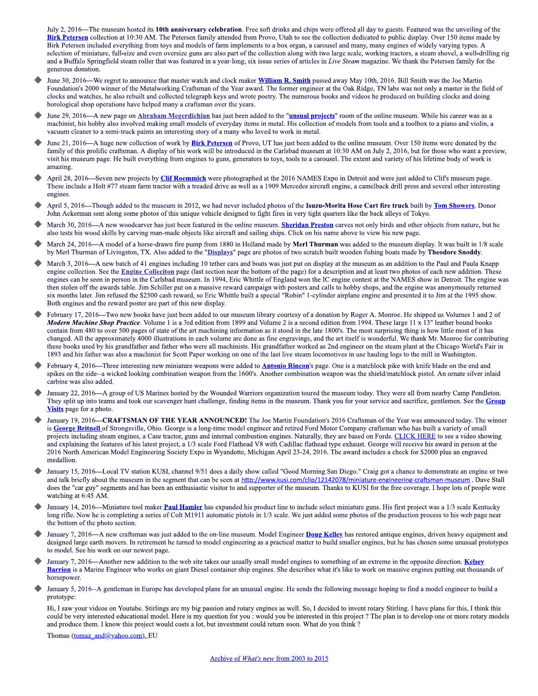July 2, 2016—The museum hosted its 10th anniversary celebration. Free soft drinks and chips were offered all day to guests. Featured was the unveiling of the Birk Petersen collection at 10:30 AM. The Petersen family attended from Provo, Utah to see the collection dedicated to public display. Over 150 items made by Birk Petersen included everything from toys and models of farm implements to a box organ, a carousel and many, many engines of widely varying types. A selection of miniature, full-size and even oversize guns are also part of the collection along with two large scale, working tractors, a steam shovel, a well-drilling rig and a Buffalo Springfield steam roller that was featured in a year-long, six issue series of articles in Live Steam magazine. We thank the Petersen family for the generous donation.

- June 30, 2016—We regret to announce that master watch and clock maker **William R. Smith** passed away May 10th, 2016. Bill Smith was the Joe Martin Foundation's 2000 winner of the Metalworking Craftsman of the Year award. The former engineer at the Oak Ridge, TN labs was not only a master in the field of clocks and watches, he also rebuilt and collected telegraph keys and wrote poetry. The numerous books and videos he produced on building clocks and doing horological shop operations have helped many a craftsman over the years.
- June 29, 2016—A new page on Abraham Megerdichian has just been added to the "unsual projects" room of the online museum. While his career was as a machinist, his hobby also involved making small models of everyday items in metal. His collection of models from tools and a toolbox to a piano and violin, a vacuum cleaner to a semi-truck paints an interesting story of a many who loved to work in metal.
- June 21, 2016—A huge new collection of work by **Birk Petersen** of Provo, UT has just been added to the online museum. Over 150 items were donated by the family of this prolific craftsman. A display of his work will be introduced in the Carlsbad museum at 10:30 AM on July 2, 2016, but for those who want a preview, visit his museum page. He built everything from engines to guns, generators to toys, tools to a carousel. The extent and variety of his lifetime body of work is amazing
- April 28, 2016—Seven new projects by Clif Roemmich were photographed at the 2016 NAMES Expo in Detroit and were just added to Clif's museum page. These include a Holt #77 steam farm tractor with a treaded drive as well as a 1909 Mercedes aircraft engine, a camelback drill press and several other interesting engines.
- April 5, 2016—Though added to the museum in 2012, we had never included photos of the Isuzu-Morita Hose Cart fire truck built by Tom Showers. Donor John Ackerman sent along some photos of this unique vehicle designed to fight fires in very tight quarters like the back alleys of Tokyo.
- March 30, 2016—A new woodcarver has just been featured in the online museum. Sheridan Preston carves not only birds and other objects from nature, but he also tests his wood skills by carving man-made objects like aircraft and sailing ships. Click on his name above to view his new page.
- March 24, 2016—A model of a horse-drawn fire pump from 1880 in Holland made by Merl Thurman was added to the museum display. It was built in 1/8 scale by Merl Thurman of Livingston, TX. Also added to the "Displays" page are photos of two scratch built wooden fishing boats made by Theodore Snoddy.
- March 3, 2016—A new batch of 41 engines including 10 tether cars and boats was just put on display at the museum as an addition to the Paul and Paula Knapp engine collection. See the **Engine Collection** page (last section near the bottom of the page) for a description and at least two photos of each new addition. These engines can be seen in person in the Carlsbad museum. In 1994, Eric Whittle of England won the IC engine contest at the NAMES show in Detroit. The engine was then stolen off the awards table. Jim Schiller put on a massive reward campaign with posters and calls to hobby shops, and the engine was anonymously returned six months later. Jim refused the \$2500 cash reward, so Eric Whittle built a special "Robin" 1-cylinder airplane engine and presented it to Jim at the 1995 show. Both engines and the reward poster are part of this new display.
- February 17, 2016—Two new books have just been added to our museum library courtesy of a donation by Roger A. Monroe. He shipped us Volumes 1 and 2 of Modern Machine Shop Practice. Volume 1 is a 3rd edition from 1899 and Volume 2 is a second edition from 1994. These large 11 x 13" leather bound books contain from 480 to over 500 pages of state of the art machining information as it stood in the late 1800's. The most surprising thing is how little most of it has changed. All the approximately 4000 illustrations in each volume are done as fine engravings, and the art itself is wonderful. We thank Mr. Monroe for contributing these books used by his grandfather and father who were all machinists. His grandfather worked as 2nd engineer on the steam plant at the Chicago World's Fair in 1893 and his father was also a machinist for Scott Paper working on one of the last live steam locomotives in use hauling logs to the mill in Washington.
- February 4, 2016—Three interesting new miniature weapons were added to **Antonio Rincon's** page. One is a matchlock pike with knife blade on the end and spikes on the side--a wicked looking combination weapon from the 1600's. Another combination weapon was the shield/matchlock pistol. An ornate silver inlaid carbine was also added.
- January 22, 2016-A group of US Marines hosted by the Wounded Warriors organization toured the museum today. They were all from nearby Camp Pendleton. They split up into teams and took our scavenger hunt challenge, finding items in the museum. Thank you for your service and sacrifice, gentlemen. See the Group Visits page for a photo.
- January 19, 2016—CRAFTSMAN OF THE YEAR ANNOUNCED! The Joe Martin Foundation's 2016 Craftsman of the Year was announced today. The winner is George Britnell of Strongsville, Ohio. George is a long-time model engineer and retired Ford Motor Company craftsman who has built a variety of small projects including steam engines, a Case tractor, guns and internal combustion engines. Naturally, they are based on Fords. CLICK HERE to see a video showing and explaining the features of his latest project, a 1/3 scale Ford Flathead V8 with Cadillac flathead type exhaust. George will receive his award in person at the 2016 North American Model Engineering Society Expo in Wyandotte, Michigan April 23-24, 2016. The award includes a check for \$2000 plus an engraved medallion.
- January 15, 2016—Local TV station KUSI, channel 9/51 does a daily show called "Good Morning San Diego." Craig got a chance to demonstrate an engine or two and talk briefly about the museum in the segment that can be seen at http://www.kusi.com/clip/12142078/miniature-engineering-craftsman-museum. Dave Stall does the "car guy" segments and has been an enthusiastic visitor to and supporter of the museum. Thanks to KUSI for the free coverage. I hope lots of people were watching at 6:45 AM.
- January 14, 2016—Miniature tool maker Paul Hamler has expanded his product line to include select miniature guns. His first project was a 1/3 scale Kentucky long rifle. Now he is completing a series of Colt M1911 automatic pistols in 1/3 scale. We just added some photos of the production process to his web page near the bottom of the photo section.
- January 7, 2016-A new craftsman was just added to the on-line museum. Model Engineer Doug Kelley has restored antique engines, driven heavy equipment and designed large earth movers. In retirement he turned to model engineering as a practical matter to build smaller engines, but he has chosen some unusual prototypes to model. See his work on our newest page.
- January 7, 2016—Another new addition to the web site takes our usually small model engines to something of an extreme in the opposite direction. Kelsey Barrion is a Marine Engineer who works on giant Diesel container ship engines. She describes what it's like to work on massive engines putting out thousands of horsepower.
- January 5, 2016--A gentleman in Europe has developed plans for an unusual engine. He sends the following message hoping to find a model engineer to build a prototype:

Hi, I saw your videos on Youtube. Stirlings are my big passion and rotary engines as well. So, I decided to invent rotary Stirling. I have plans for this, I think this could be very interested educational model. Here is my question for you : would you be interested in this project ? The plan is to develop one or more rotary models and produce them. I know this project would costs a lot, but investment could return soon. What do you think?

Thomas (tomaz and@yahoo.com), EU